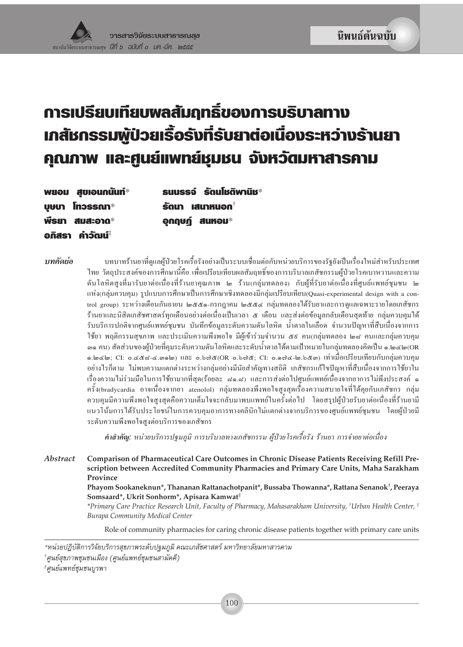# **การเปรียบเทียบพลสัมฤทธิ์ของการบริบาลทาง เกสัชกรรมพู้ป่วยเรื้อรังที่รับยาต่อเนื่องระหว่างร้านยา** คุณภาพ และศูนย์แพทย์หุมชน จังหวัดมหาสารคาม

| พยอม สูบเอนกนันท์*           | ้ suussจ์ รัตนโชติพานิช∗                   |
|------------------------------|--------------------------------------------|
| <b>UGUI Inossan*</b>         | $\bar{\mathbf{s}}$ ดนา เสนาหนอก $^\dagger$ |
| พีรยา สมสะอาด*               | อุกฤษฏ์ สนหอม $^*$                         |
| อกิสรา คำวัตแไ $^{\ddagger}$ |                                            |

บทคัดย่อ

้ บทบาทร้านยาที่คแลผ้ป่วยโรคเรื้อรังอย่างเป็นระบบเชื่อมต่อกับหน่วยบริการของรัฐยังเป็นเรื่องใหม่สำหรับประเทศ ไทย วัตถุประสงค์ของการศึกษานี้คือ เพื่อเปรียบเทียบผลสัมฤทธิ์ของการบริบาลเภสัชกรรมผู้ป่วยโรคเบาหวานและความ ดันโลหิตสูงที่มารับยาต่อเนื่องที่ร้านยาคุณภาพ ๒ ร้าน(กลุ่มทดลอง) กับผู้ที่รับยาต่อเนื่องที่ศูนย์แพทย์ชุมชน ๒ แห่ง(กลุ่มควบคุม) รูปแบบการศึกษาเป็นการศึกษาเชิงทดลองมีกลุ่มเปรียบเทียบ(Quasi-experimental design with a control group) ระหว่างเดือนกันยายน ๒๕๕๑-กรกฎาคม ๒๕๕๔ กลุ่มทดลองได้รับยาและการดูแลเฉพาะรายโดยเภสัชกร ้ร้านยาและนิสิตเภสัชศาสตร์ทุกเดือนอย่างต่อเนื่องเป็นเวลา ๕ เดือน และส่งต่อข้อมูลกลับเดือนสุดท้าย กลุ่มควบคุมได้ รับบริการปกติจากศูนย์แพทย์ชุมชน บันทึกข้อมูลระดับความดันโลหิต น้ำตาลในเลือด จำนวนปัญหาที่สืบเนื่องจากการ ใช้ยา พฤติกรรมสุขภาพ และประเมินความพึงพอใจ มีผู้เข้าร่วมจำนวน ๕៩ คน(กลุ่มทดลอง ๒๘ คนและกลุ่มควบคุม ี ๑๑ กน) สัดส่วนของผู้ป่วยที่กุมระดับกวามดันโลหิตและระดับน้ำตาลใด้ตามเป้าหมายในกลุ่มทดลองกิดเป็น ๑.๒๔๒(OR ๑.๒๔๒; CI: ๐.๔๕๘-๔.๓๑๒) และ ๐.๖๗๕(OR ๐.๖๗๕; CI: ๐.๑๗๔-๒.๖๕๓) เท่าเมื่อเปรียบเทียบกับกลุ่มควบคุม ้อย่างไรก็ตาม ไม่พบความแตกต่างระหว่างกลุ่มอย่างมีนัยสำคัญทางสถิติ เภสัชกรแก้ไขปัญหาที่สืบเนื่องจากการใช้ยาใน เรื่องความไม่ร่วมมือในการใช้ยามากที่สุด(ร้อยละ ๘๑.๘) และการส่งต่อไปศูนย์แพทย์เนื่องจากอาการไม่พึงประสงค์ ๑ ครั้ง(bradycardia อาจเนื่องจากยา atenolol) กลุ่มทดลองพึงพอใจสูงสุดเรื่องความสบายใจที่ได้คุยกับเภสัชกร กลุ่ม ้ควบคุมมีความพึงพอใจสูงสุดคือความเต็มใจจะกลับมาพบแพทย์ในครั้งต่อไป โดยสรุปผู้ป่วยรับยาต่อเนื่องที่ร้านยามี ี่ แนวโน้มการได้รับประโยชน์ในการควบคุมอาการทางคลินิกไม่แตกต่างจากบริการของศูนย์แพทย์ชุมชน โดยผู้ป่วยมี ระดับความพึงพอใจสงต่อบริการของเภสัชกร

คำสำคัญ: หน่วยบริการปฐมภูมิ การบริบาลทางเภสัชกรรม ผู้ป่วยโรคเรื้อรัง ร้านยา การจ่ายยาต่อเนื่อง

Abstract Comparison of Pharmaceutical Care Outcomes in Chronic Disease Patients Receiving Refill Prescription between Accredited Community Pharmacies and Primary Care Units, Maha Sarakham Province

Phayom Sookaneknun\*, Thananan Rattanachotpanit\*, Bussaba Thowanna\*, Rattana Senanok<sup>†</sup>, Peeraya Somsaard\*, Ukrit Sonhorm\*, Apisara Kamwat<sup>‡</sup>

\*Primary Care Practice Research Unit, Faculty of Pharmacy, Mahasarakham University, †Urban Health Center, \* **Burapa Community Medical Center** 

Role of community pharmacies for caring chronic disease patients together with primary care units

†ศูนย์สุขภาพชุมชนเมือง (ศูนย์แพทย์ชุมชนสามัคคี)

\*ศูนย์แพทย์ชุมชนบูรพา

<sup>\*</sup>หน่วยปฏิบัติการวิจัยบริการสุขภาพระดับปฐมภูมิ คณะเภสัชศาสตร์ มหาวิทยาลัยมหาสารคาม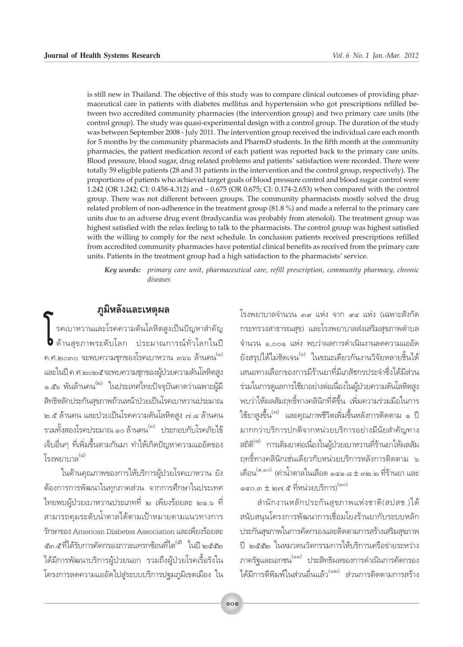is still new in Thailand. The objective of this study was to compare clinical outcomes of providing pharmaceutical care in patients with diabetes mellitus and hypertension who got prescriptions refilled between two accredited community pharmacies (the intervention group) and two primary care units (the control group). The study was quasi-experimental design with a control group. The duration of the study was between September 2008 - July 2011. The intervention group received the individual care each month for 5 months by the community pharmacists and PharmD students. In the fifth month at the community pharmacies, the patient medication record of each patient was reported back to the primary care units. Blood pressure, blood sugar, drug related problems and patients' satisfaction were recorded. There were totally 59 eligible patients (28 and 31 patients in the intervention and the control group, respectively). The proportions of patients who achieved target goals of blood pressure control and blood sugar control were 1.242 (OR 1.242; CI: 0.458-4.312) and -0.675 (OR 0.675; CI: 0.174-2.653) when compared with the control group. There was not different between groups. The community pharmacists mostly solved the drug related problem of non-adherence in the treatment group (81.8 %) and made a referral to the primary care units due to an adverse drug event (bradycardia was probably from atenolol). The treatment group was highest satisfied with the relax feeling to talk to the pharmacists. The control group was highest satisfied with the willing to comply for the next schedule. In conclusion patients received prescriptions refilled from accredited community pharmacies have potential clinical benefits as received from the primary care units. Patients in the treatment group had a high satisfaction to the pharmacists' service.

Key words: primary care unit, pharmaceutical care, refill prescription, community pharmacy, chronic diseases

## ภูมิหลังและเหตุผล

รคเบาหวานและโรคความดันโลหิตสูงเป็นปัญหาสำคัญ **b** ด้านสุขภาพระดับโลก ประมาณการณ์ทั่วโลกในปี ึค.ศ.๒๐๓๐ จะพบความชุกของโรคเบาหวาน ๓๖๖ ล้านคน<sup>(๑)</sup> และในปี ค.ศ.๒๐๒๕จะพบความชุกของผู้ป่วยความดันโลหิตสูง ๑.๕๖ พันล้านคน<sup>(๒)</sup> ในประเทศไทยปัจจุบันคาดว่าเฉพาะผู้มี สิทธิหลักประกันสุขภาพถ้วนหน้าป่วยเป็นโรคเบาหวานประมาณ ๒.๕ ล้านคน และป่วยเป็นโรคความดันโลหิตสูง ๗.๘ ล้านคน ้รวมทั้งสองโรคประมาณ ๑๐ ล้านคน<sup>(๓)</sup> ประกอบกับโรคภัยไข้ เจ็บอื่นๆ ที่เพิ่มขึ้นตามกันมา ทำให้เกิดปัญหาความแออัดของ โรงพะเาบาล<sup>(๔)</sup>

ในด้านคุณภาพของการให้บริการผู้ป่วยโรคเบาหวาน ยัง ้ต้องการการพัฒนาในทุกภาคส่วน จากการศึกษาในประเทศ ไทยพบผู้ป่วยเบาหวานประเภทที่ ๒ เพียงร้อยละ ๒๑.๖ ที่ สามารถคุมระดับน้ำตาลได้ตามเป้าหมายตามแนวทางการ รักษาของ American Diabetes Association และเพียงร้อยละ ี ๕๓.๕ที่ได้รับการคัดกรองภาวะแทรกซ้อนที่ไต<sup>(๕)</sup> ในปี ๒๕๕๒ ได้มีการพัฒนาบริการผู้ป่วยนอก รวมถึงผู้ป่วยโรคเรื้อรังใน โครงการลดความแออัดไปสู่ระบบบริการปฐมภูมิเขตเมือง ใน

โรงพยาบาลจำนวน ๓๙ แห่ง จาก ๙๔ แห่ง (เฉพาะสังกัด กระทรวงสาธารณสุข) และโรงพยาบาลส่งเสริมสุขภาพตำบล จำนวน ๑,๐๐๑ แห่ง พบว่าผลการดำเนินงานลดความแออัด ยังสรุปได้ไม่ชัดเจน<sup>(๖)</sup> ในขณะเดียวกันงานวิจัยหลายชิ้นได้ เสนอทางเลือกของการมีร้านยาที่มีเภสัชกรประจำซึ่งได้มีส่วน ร่วมในการดูแลการใช้ยาอย่างต่อเนื่องในผู้ป่วยความดันโลหิตสูง ็พบว่าให้ผลสัมฤทธิ์ทางคลินิกที่ดีขึ้น เพิ่มความร่วมมือในการ ใช้ยาสูงขึ้น <sup>(๗)</sup> และคุณภาพชีวิตเพิ่มขึ้นหลังการติดตาม ๑ ปี มากกว่าบริการปกติจากหน่วยบริการอย่างมีนัยสำคัญทาง สถิติ<sup>(๘)</sup> การเติมยาต่อเนื่องในผู้ป่วยเบาหวานที่ร้านยาให้ผลสัม ถุทธิ์ทางคลินิกเช่นเดียวกับหน่วยบริการหลังการติดตาม ๖ เดือน<sup>(ส,๑๐)</sup> (ค่าน้ำตาลในเลือด ๑๔๑.๘ ± ๓๒.๒ ที่ร้านยา และ ด๔๐.๓  $\pm$  ๒๗.๕ ที่หน่วยบริการ) $^{(\text{\tiny{QO}})}$ 

สำนักงานหลักประกันสุขภาพแห่งชาติ(สปสช.)ได้ สนับสนุนโครงการพัฒนาการเชื่อมโยงร้านยากับระบบหลัก ประกันสุขภาพในการคัดกรองและติดตามการสร้างเสริมสุขภาพ ปี ๒๕๕๒ ในหมวดนวัตกรรมการให้บริการเครือข่ายระหว่าง ภาครัฐและเอกชน<sup>(๑๑)</sup> ประสิทธิผลของการดำเนินการคัดกรอง ได้มีการตีพิมพ์ในส่วนอื่นแล้ว<sup>(๑๒)</sup> ส่วนการติดตามการสร้าง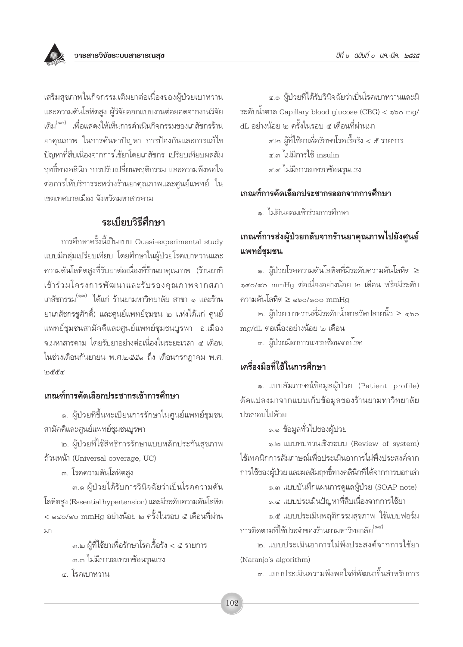เสริมสุขภาพในกิจกรรมเติมยาต่อเนื่องของผู้ป่วยเบาหวาน และความดันโลหิตสูง ผู้วิจัยออกแบบงานต่อยอดจากงานวิจัย เดิม<sup>(๑๐)</sup> เพื่อแสดงให้เห็นการดำเนินกิจกรรมของเภสัชกรร้าน ยาคุณภาพ ในการค้นหาปัญหา การป้องกันและการแก้ไข ้ปัญหาที่สืบเนื่องจากการใช้ยาโดยเภสัชกร เปรียบเทียบผลสัม ฤทธิ์ทางคลินิก การปรับเปลี่ยนพฤติกรรม และความพึงพอใจ ต่อการให้บริการระหว่างร้านยาคุณภาพและศูนย์แพทย์ ใน เขตเทศบาลเมือง จังหวัดมหาสารคาม

## ระเบียบวิธีสึกษา

การศึกษาครั้งนี้เป็นแบบ Quasi-experimental study แบบมีกลุ่มเปรียบเทียบ โดยศึกษาในผู้ป่วยโรคเบาหวานและ ้ความดันโลหิตสูงที่รับยาต่อเนื่องที่ร้านยาคุณภาพ (ร้านยาที่ เข้าร่วมโครงการพัฒนาและรับรองคุณภาพจากสภา เภสัชกรรม<sup>(๑๓)</sup> ได้แก่ ร้านยามหาวิทยาลัย สาขา ๑ และร้าน ยาเภสัชกรชูศักดิ์) และศูนย์แพทย์ชุมชน ๒ แห่งได้แก่ ศูนย์ แพทย์ชุมชนสามัคคีและศูนย์แพทย์ชุมชนบูรพา อ.เมือง จ.มหาสารคาม โดยรับยาอย่างต่อเนื่องในระยะเวลา ๕ เดือน ในช่วงเดือนกันยายน พ.ศ.๒๕๕๑ ถึง เดือนกรกฎาคม พ.ศ.  $\ln \frac{g}{g}$ 

#### เกณฑ์การคัดเลือกประชากรเข้าการศึกษา

๑. ผู้ป่วยที่ขึ้นทะเบียนการรักษาในศูนย์แพทย์ชุมชน สามัคคีและศูนย์แพทย์ชุมชนบูรพา

๒. ผู้ป่วยที่ใช้สิทธิการรักษาแบบหลักประกันสุขภาพ ถ้วนหน้า (Universal coverage, UC)

๓. โรคความดันโลหิตสง

๓.๑ ผู้ป่วยได้รับการวินิจฉัยว่าเป็นโรคความดัน โลหิตสูง (Essential hypertension) และมีระดับความดันโลหิต < ๑๔๐/๙๐ mmHq อย่างน้อย ๒ ครั้งในรอบ ๕ เดือนที่ผ่าน มา

> ๓.๒ ผู้ที่ใช้ยาเพื่อรักษาโรคเรื้อรัง < ๕ รายการ ๓.๓ ไม่มีภาวะแทรกซ้อนรุนแรง ๔. โรคเบาหวาน

๔.๑ ผู้ป่วยที่ได้รับวินิจฉัยว่าเป็นโรคเบาหวานและมี ระดับน้ำตาล Capillary blood glucose (CBG) < ๑๖๐ mg/ dL อย่างน้อย ๒ ครั้งในรอบ ๕ เดือนที่ผ่านมา

> ๔.๒ ผู้ที่ใช้ยาเพื่อรักษาโรคเรื้อรัง < ๕ รายการ ๔.๓ ไม่มีการใช้ insulin ๔.๔ ไม่มีภาวะแทรกซ้อนรุนแรง

#### เกณฑ์การคัดเลือกประชากรออกจากการศึกษา

๑. ไม่ยินยอมเข้าร่วมการศึกษา

## เกณฑ์การส่งผู้ป่วยกลับจากร้านยาคุณภาพไปยังศูนย์ แพทย์ชมชน

๑. ผู้ป่วยโรคความดันโลหิตที่มีระดับความดันโลหิต ≥ ๑๔๐/๙๐ mmHg ต่อเนื่องอย่างน้อย ๒ เดือน หรือมีระดับ ความดันโลหิต ≥ ๑๖๐/๑๐๐ mmHg

๒. ผู้ป่วยเบาหวานที่มีระดับน้ำตาลวัดปลายนิ้ว ≥ ๑๖๐ mg/dL ต่อเนื่องอย่างน้อย ๒ เดือน

.๓. ผู้ป่วยมือาการแทรกซ้อนจากโรค

## เครื่องมือที่ใช้ในการศึกษา

๑. แบบสัมภาษณ์ข้อมูลผู้ป่วย (Patient profile) ดัดแปลงมาจากแบบเก็บข้อมูลของร้านยามหาวิทยาลัย ประกอบไปด้วย

๑.๑ ข้อมูลทั่วไปของผู้ป่วย

๑.๒ แบบทบทวนเชิงระบบ (Review of system) ใช้เทคนิกการสัมภาษณ์เพื่อประเมินอาการไม่พึงประสงค์จาก การใช้ของผู้ป่วย และผลสัมฤทธิ์ทางคลินิกที่ได้จากการบอกเล่า

๑.๓ แบบบันทึกแผนการดูแลผู้ป่วย (SOAP note)

๑.๔ แบบประเมินปัญหาที่สืบเนื่องจากการใช้ยา

๑.๕ แบบประเมินพฤติกรรมสุขภาพ ใช้แบบฟอร์ม การติดตามที่ใช้ประจำของร้านยามหาวิทยาลัย<sup>(๑๔)</sup>

๒. แบบประเมินอาการไม่พึ่งประสงค์จากการใช้ยา (Naranio's algorithm)

๓. แบบประเมินความพึ่งพอใจที่พัฒนาขึ้นสำหรับการ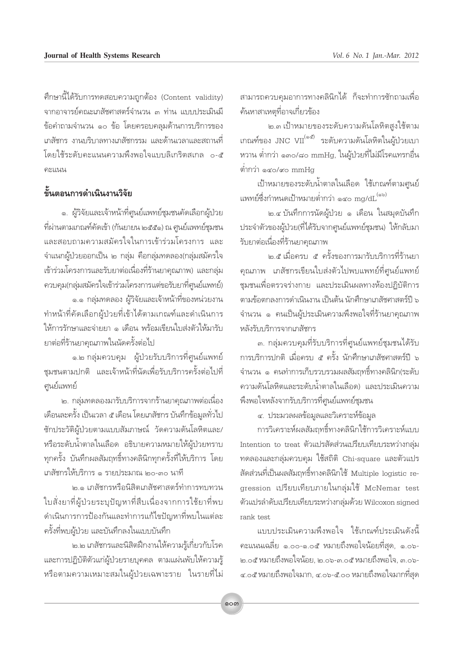ศึกษานี้ได้รับการทดสอบความถูกต้อง (Content validity) จากอาจารย์คณะเภสัชศาสตร์จำนวน ๓ ท่าน แบบประเมินมี ข้อคำถามจำนวน ๑๐ ข้อ โดยครอบคลุมด้านการบริการของ เภสัชกร งานบริบาลทางเภสัชกรรม และด้านเวลาและสถานที่ โดยใช้ระดับคะแนนความพึ่งพอใจแบบลิเกริตสเกล o-๕ คะแนน

## ดั้นตอนการดำเนินงานวิจัย

๑. ผู้วิจัยและเจ้าหน้าที่ศูนย์แพทย์ชุมชนคัดเลือกผู้ป่วย ที่ผ่านตามเกณฑ์คัดเข้า (กันยายน ๒๕๕๑) ณ ศูนย์แพทย์ชุมชน และสอบถามความสมัครใจในการเข้าร่วมโครงการ และ จำแนกผู้ป่วยออกเป็น ๒ กลุ่ม คือกลุ่มทดลอง(กลุ่มสมัครใจ เข้าร่วมโครงการและรับยาต่อเนื่องที่ร้านยาคุณภาพ) และกลุ่ม ควบคุม(กลุ่มสมัครใจเข้าร่วมโครงการแต่ขอรับยาที่ศูนย์แพทย์)

๑.๑ กลุ่มทดลอง ผู้วิจัยและเจ้าหน้าที่ของหน่วยงาน ทำหน้าที่คัดเลือกผู้ป่วยที่เข้าได้ตามเกณฑ์และดำเนินการ ให้การรักษาและจ่ายยา ๑ เดือน พร้อมเขียนใบส่งตัวให้มารับ ยาต่อที่ร้านยาคุณภาพในนัดครั้งต่อไป

๑.๒ กลุ่มควบคุม ผู้ป่วยรับบริการที่ศูนย์แพทย์ ชุมชนตามปกติ และเจ้าหน้าที่นัดเพื่อรับบริการครั้งต่อไปที่ ศูนย์แพทย์

่ ๒. กลุ่มทดลองมารับบริการจากร้านยาคุณภาพต่อเนื่อง เดือนละครั้ง เป็นเวลา ๕ เดือน โดยเภสัชกร บันทึกข้อมูลทั่วไป ชักประวัติผู้ป่วยตามแบบสัมภาษณ์ วัดความดันโลหิตและ/ หรือระดับน้ำตาลในเลือด อธิบายความหมายให้ผู้ป่วยทราบ ทุกครั้ง บันทึกผลสัมฤทธิ์ทางคลินิกทุกครั้งที่ให้บริการ โดย เภสัชกรให้บริการ ๑ รายประมาณ ๒๐-๓๐ นาที

๒.๑ เภสัชกรหรือนิสิตเภสัชศาสตร์ทำการทบทวน ใบสั่งยาที่ผู้ป่วยระบุปัญหาที่สืบเนื่องจากการใช้ยาที่พบ ดำเนินการการป้องกันและทำการแก้ไขปัญหาที่พบในแต่ละ ครั้งที่พบผู้ป่วย และบันทึกลงในแบบบันทึก

๒.๒ เภสัชกรและนิสิตฝึกงานให้ความรู้เกี่ยวกับโรค และการปฏิบัติตัวแก่ผู้ป่วยรายบุคคล ตามแผ่นพับให้ความรู้ หรือตามความเหมาะสมในผู้ป่วยเฉพาะราย ในรายที่ไม่ สามารถควบคุมอาการทางคลินิกได้ ก็จะทำการซักถามเพื่อ ค้นหาสาเหตุที่อาจเกี่ยวข้อง

๒.๓ เป้าหมายของระดับความดันโลหิตสูงใช้ตาม เกณฑ์ของ JNC VII<sup>(๑๕)</sup> ระดับความดันโลหิตในผู้ป่วยเบา หวาน ต่ำกว่า ๑๓๐/๘๐ mmHg, ในผู้ป่วยที่ไม่มีโรคแทรกอื่น ต่ำกว่า ๑๔๐/๙๐ mmHg

เป้าหมายของระดับน้ำตาลในเลือด ใช้เกณฑ์ตามศนย์ แพทย์ซึ่งกำหนดเป้าหมายต่ำกว่า ๑๔๐ mg/dL<sup>(๑๖)</sup>

๒.๔ บันทึกการนัดผู้ป่วย ๑ เดือน ในสมุดบันทึก ประจำตัวของผู้ป่วย(ที่ได้รับจากศูนย์แพทย์ชุมชน) ให้กลับมา รับยาต่อเนื่องที่ร้านยาคุณภาพ

๒.๕ เมื่อครบ ๕ ครั้งของการมารับบริการที่ร้านยา คุณภาพ เภสัชกรเขียนใบส่งตัวไปพบแพทย์ที่ศูนย์แพทย์ ชมชนเพื่อตรวจร่างกาย และประเมินผลทางห้องปฏิบัติการ ตามข้อตกลงการดำเนินงาน เป็นต้น นักศึกษาเภสัชศาสตร์ปี ๖ จำนวน ๑ คนเป็นผู้ประเมินความพึงพอใจที่ร้านยาคุณภาพ หลังรับบริการจากเภสัชกร

.๓. กลุ่มควบคุมที่รับบริการที่ศูนย์แพทย์ชุมชนได้รับ ์ การบริการปกติ เมื่อครบ ๕ ครั้ง นักศึกษาเภสัชศาสตร์ปี ๖ จำนวน ๑ คนทำการเก็บรวบรวมผลสัมถทธิ์ทางคลินิก(ระดับ ความดันโลหิตและระดับน้ำตาลในเลือด) และประเมินความ พึ่งพอใจหลังจากรับบริการที่ศูนย์แพทย์ชุมชน

๔. ประมวลผลข้อมูลและวิเคราะห์ข้อมูล

การวิเคราะห์ผลสัมฤทธิ์ทางคลินิกใช้การวิเคราะห์แบบ Intention to treat ตัวแปรสัดส่วนเปรียบเทียบระหว่างกลุ่ม ทดลองและกลุ่มควบคุม ใช้สถิติ Chi-square และตัวแปร สัดส่วนที่เป็นผลสัมฤทธิ์ทางคลินิกใช้ Multiple logistic regression เปรียบเทียบภายในกลุ่มใช้ McNemar test ตัวแปรลำดับเปรียบเทียบระหว่างกลุ่มด้วย Wilcoxon signed rank test

แบบประเมินความพึ่งพอใจ ใช้เกณฑ์ประเมินดังนี้ ้คะแนนเฉลี่ย ๑.๐๐-๑.๐๕ หมายถึงพอใจน้อยที่สุด, ๑.๐๖-๒.๐๕ หมายถึงพอใจน้อย, ๒.๐๖-๓.๐๕ หมายถึงพอใจ, ๓.๐๖-๔.๐๕ หมายถึงพอใจมาก, ๔.๐๖-๕.๐๐ หมายถึงพอใจมากที่สุด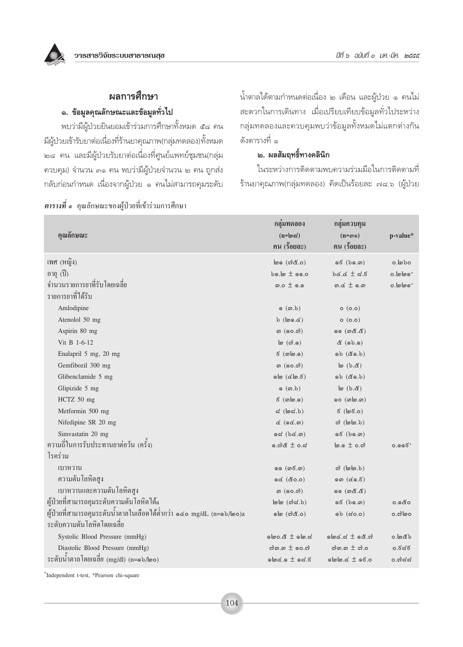## ผลการศึกษา

#### ๑. ข้อมูลคุณลักษณะและข้อมูลทั่วไป

พบว่ามีผู้ป่วยยินยอมเข้าร่วมการศึกษาทั้งหมด ๕๘ คน มีผู้ป่วยเข้ารับยาต่อเนื่องที่ร้านยาคุณภาพ(กลุ่มทดลอง)ทั้งหมด ๒๘ คน และมีผู้ป่วยรับยาต่อเนื่องที่ศูนย์แพทย์ชุมชน(กลุ่ม ควบคุม) จำนวน ๓๑ คน พบว่ามีผู้ป่วยจำนวน ๒ คน ถูกส่ง กลับก่อนกำหนด เนื่องจากผู้ป่วย ๑ คนไม่สามารถคุมระดับ ้น้ำตาลได้ตามกำหนดต่อเนื่อง ๒ เดือน และผู้ป่วย ๑ คนไม่ สะดวกในการเดินทาง เมื่อเปรียบเทียบข้อมูลทั่วไประหว่าง กลุ่มทดลองและควบคุมพบว่าข้อมูลทั้งหมดไม่แตกต่างกัน ดังตารางที่ ๑

#### ี ๒. ผลสัมฤทธิ์ทางคลินิก

ในระหว่างการติดตามพบความร่วมมือในการติดตามที่ ้ร้านยาคุณภาพ(กลุ่มทดลอง) คิดเป็นร้อยละ ๗๘.๖ (ผู้ป่วย

| คุณลักษณะ                                                            | กลุ่มทดลอง<br>$(n = \omega)$<br>ึกน (ร้อยละ)               | กลุ่มควบคุม<br>$(n = \omega)$<br>ึกน (ร้อยละ)                        | p-value*            |
|----------------------------------------------------------------------|------------------------------------------------------------|----------------------------------------------------------------------|---------------------|
| เพศ (หญิง)                                                           | (0.නී(ා) @                                                 | $\mathfrak{g} \in (\mathfrak{b} \mathfrak{g}, \mathfrak{m})$         | $o.\n$              |
| อายุ (ปี)                                                            | $\mathfrak{b}$ o.lo $\pm$ 00.0                             | $3.5 \pm 3.5$                                                        | $o$ . lø $\log^+$   |
| ์ จำนวนรายการยาที่รับโดยเฉลี่ย                                       | ത.ഠ $\pm$ കെ                                               | $m \notin \pm 0.5$                                                   | $o.\omega$          |
| รายการยาที่ได้รับ                                                    |                                                            |                                                                      |                     |
| Amlodipine                                                           | $\circ$ ( $\circ$ , $\circ$ )                              | o(0.0)                                                               |                     |
| Atenolol 50 mg                                                       | $b$ (loo.c)                                                | O(O.O)                                                               |                     |
| Aspirin 80 mg                                                        | ை ( <b>ெ.</b> ி)                                           | 99 (ග <i>රී.රී</i> )                                                 |                     |
| Vit B 1-6-12                                                         | $\mathsf{I}$ (တဲ.၈)                                        | $\&$ (ab.a)                                                          |                     |
| Enalapril 5 mg, 20 mg                                                | $5 \text{ (} \text{m} \text{m} \text{.} \text{o} \text{)}$ | $(6.02)$ රග                                                          |                     |
| Gemfibozil 300 mg                                                    | ை (ெ.ெ.                                                    | $(a, d)$ $(a)$                                                       |                     |
| Glibenclamide 5 mg                                                   | ol(6.6)                                                    | $o b ($ co.b)                                                        |                     |
| Glipizide 5 mg                                                       | $\circ$ ( $\circ$ .b)                                      | $\mathfrak{b}$ (b.&)                                                 |                     |
| HCTZ 50 mg                                                           | $5 \n(0.00.0)$                                             | oo (வ <b>๒</b> .෨)                                                   |                     |
| Metformin 500 mg                                                     | $d$ ( $d$ ೂಡೆ. $b$ )                                       | $5$ (lø $5.0$ )                                                      |                     |
| Nifedipine SR 20 mg                                                  | $\propto$ $($ o $\propto$ . $\omega$ $)$                   | $\omega$ (lolo.b)                                                    |                     |
| Simvastatin 20 mg                                                    | od(b@.                                                     | $\mathfrak{g}\mathfrak{E}$ $(\mathfrak{b}\mathfrak{g},\mathfrak{m})$ |                     |
| ความถี่ในการรับประทานยาต่อวัน (ครั้ง)                                | ๑.๗๕ $±$ ๐.๘                                               | $\ln 0.5 \pm 0.0$                                                    | $0.996^{+}$         |
| โรคร่วม                                                              |                                                            |                                                                      |                     |
| ้เบาหวาน                                                             | ை (ன8.ன)                                                   | $\omega$ ( $\omega$ lon $\omega$ )                                   |                     |
| ้ ความดัน โลหิต <b>สู</b> ง                                          | ඉ <u>ර</u> (ඊ0.0)                                          | $\circ \circ$ ( $\circ \circ$ , $\circ$ )                            |                     |
| เบาหวานและความดันโลหิตสูง                                            | ග $($ ගෙ.ෆ $)$                                             | ෧෧ ( <i>෨</i> ๕.๕)                                                   |                     |
| ผู้ป่วยที่สามารถคุมระดับความดันโลหิตใด้a                             | $\omega$ (c) $\alpha$ .b)                                  | $\mathfrak{g}\in\left(\mathfrak{b}\mathfrak{g}.\mathfrak{m}\right)$  | 0.ೊ&ಂ               |
| ผู้ป่วยที่สามารถคุมระดับน้ำตาลในเลือดได้ต่ำกว่า ๑๔๐ mg/dL (n=๑๖/๒๐)a | (0.නී(ා) ම                                                 | $\circ$ ວ $\circ$ (ສ່ວ.ວ)                                            | 0. வி               |
| ระดับความดันโลหิตโดยเฉลี่ย                                           |                                                            |                                                                      |                     |
| Systolic Blood Pressure (mmHg)                                       | $s$ .com $\pm$ 5.000                                       | $\omega \in \mathbb{R}$ and $\omega$                                 | $d$ be $\mathbb{Z}$ |
| Diastolic Blood Pressure (mmHg)                                      | வி.ை $\pm$ 00.வி                                           | லி.ை $\pm$ லி.0                                                      | 0.ಕೆನಕ              |
| ระดับนำตาลโดยเฉลี่ย (mg/dl) (n=๑๖/๒๐)                                | $s.50 \pm 0.5$                                             | $olow. & \pm$ $olow.$                                                | ೦.೧)ದ್ದ             |

**ตารางที่ ๑** คุณลักษณะของผู้ป่วยที่เข้าร่วมการศึกษา

<sup>+</sup>Independent t-test, \*Pearson chi-square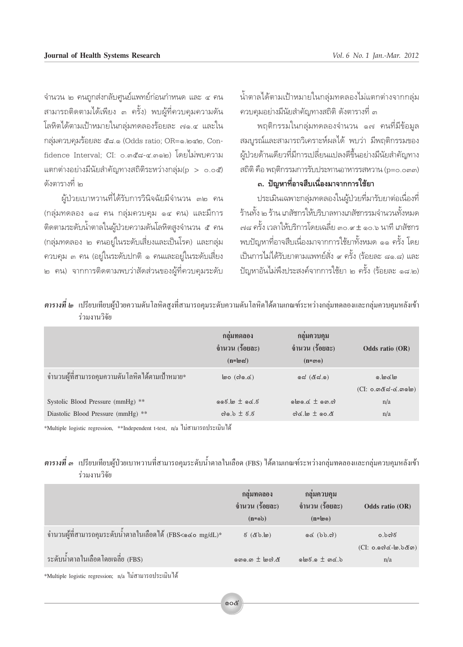้จำนวน ๒ คนถูกส่งกลับศูนย์แพทย์ก่อนกำหนด และ ๔ คน สามารถติดตามได้เพียง ๓ ครั้ง) พบผู้ที่ควบคมความดัน โลหิตได้ตามเป้าหมายในกล่มทดลองร้อยละ ๗๑.๔ และใน กลุ่มควบคุมร้อยละ ๕๘.๑ (Odds ratio; OR=๑.๒๔๒, Confidence Interval: CI: o.๓๕๘-๔.๓๑๒) โดยไม่พบความ แตกต่างอย่างมีนัยสำคัญทางสถิติระหว่างกลุ่ม(p > 0.0๕) ดังตารางที่ 1๓

ผ้ป่วยเบาหวานที่ได้รับการวินิจฉัยมีจำนวน ๓๒ คน (กลุ่มทดลอง ๑๘ คน กลุ่มควบคุม ๑๔ คน) และมีการ ้ติดตามระดับน้ำตาลในผู้ป่วยความดันโลหิตสูงจำนวน ๕ คน (กลุ่มทดลอง ๒ คนอยู่ในระดับเสี่ยงและเป็นโรค) และกลุ่ม ควบคุม ๓ คน (อยู่ในระดับปกติ ๑ คนและอยู่ในระดับเสี่ยง ๒ คน) จากการติดตามพบว่าสัดส่วนของผู้ที่ควบคุมระดับ น้ำตาลได้ตามเป้าหมายในกลุ่มทดลองไม่แตกต่างจากกลุ่ม ้ควบคุมอย่างมีนัยสำคัญทางสถิติ ดังตารางที่ ๓

้พฤติกรรมในกล่มทดลองจำนวน ๑๗ คนที่มีข้อมล สมบูรณ์และสามารถวิเคราะห์ผลได้ พบว่า มีพฤติกรรมของ ผ้ป่วยด้านเดียวที่มีการเปลี่ยนแปลงดีขึ้นอย่างมีนัยสำคัญทาง สถิติ คือ พฤติกรรมการรับประทานอาหารรสหวาน (p=0.0๓๓)

## .<br>๓. ปัญหาที่อาจสืบเนื่องมาจากการใช้ยา

ประเมินเฉพาะกลุ่มทดลองในผู้ป่วยที่มารับยาต่อเนื่องที่ ร้านทั้ง ๒ ร้าน เภสัชกรให้บริบาลทางเภสัชกรรมจำนวนทั้งหมด ์<br>ศูเน ครั้ง เวลาให้บริการโดยเฉลี่ย ๓๐.๙ ± ๑๐.๖ นาที เภสัชกร ้พบปัญหาที่อาจสืบเนื่องมาจากการใช้ยาทั้งหมด ๑๑ ครั้ง โดย เป็นการไม่ได้รับยาตามแพทย์สั่ง ๙ ครั้ง (ร้อยละ ๘๑.๘) และ ้ปัญหาอันไม่พึงประสงค์จากการใช้ยา ๒ ครั้ง (ร้อยละ ๑๘.๒)

| <i>ตารางที่ ๒</i> เปรียบเทียบผ้ป่วยความดันโลหิตสงที่สามารถคมระดับความดันโลหิตได้ตามเกณฑ์ระหว่างกล่มทดลองและกล่มควบคมหลังเข้า |  |  |
|------------------------------------------------------------------------------------------------------------------------------|--|--|
| รวมงานวาย                                                                                                                    |  |  |

|                                                                         | กลุ่มทดลอง<br>จำนวน (ร้อยละ)<br>$(n = \omega \approx)$                                               | ึกดุ่มควบคุม<br>จำนวน (ร้อยละ)<br>$(n = \omega)$                   | Odds ratio (OR)                                            |
|-------------------------------------------------------------------------|------------------------------------------------------------------------------------------------------|--------------------------------------------------------------------|------------------------------------------------------------|
| ้จำนวนผู้ที่สามารถคุมความดันโลหิตใด้ตามเป้าหมาย*                        | $\omega$ (c) $\omega$ . (c)                                                                          | ඉದ ( <i>&amp;ದ</i> .ඉ)                                             | o.loclo<br>$(CI: o. \omega \& \omega \& \omega \& \omega)$ |
| Systolic Blood Pressure (mmHg) **<br>Diastolic Blood Pressure (mmHg) ** | $\circ\circ\circ$ to $\pm$ $\circ\circ\circ$<br>$\omega$ ೂ. $\delta \pm \varepsilon$ . $\varepsilon$ | $\omega$<br>$od$ $\epsilon$ $\epsilon$ $\pi$ $\epsilon$ $\epsilon$ | n/a<br>n/a                                                 |
|                                                                         |                                                                                                      |                                                                    |                                                            |

\*Multiple logistic regression, \*\*Independent t-test, n/a ไม่สามารถประเมินได้

#### ี <mark>ตารางที่</mark> ๓ เปรียบเทียบผู้ป่วยเบาหวานที่สามารถคุมระดับน้ำตาลในเลือด (FBS) ได้ตามเกณฑ์ระหว่างกลุ่มทดลองและกลุ่มควบคุมหลังเข้า ร่วมงานวิจัย

|                                                              | กลุ่มทดลอง<br>จำนวน (ร้อยละ)<br>$(n = \circ b)$ | กลุ่มควบคุม<br>จำนวน (ร้อยละ)<br>$(n = \omega_0)$ | Odds ratio (OR)                       |
|--------------------------------------------------------------|-------------------------------------------------|---------------------------------------------------|---------------------------------------|
| ึ่งำนวนผู้ที่สามารถคุมระดับน้ำตาลในเลือดได้ (FBS<๑๔๐ mg/dL)* | $($ ها $.65$ ) $\overline{5}$                   | $Q$ $(Q$ $(3)$ $Q$ $Q$ $(3)$                      | 0.៦೧೬೯                                |
| ระดับน้ำตาลในเลือดโดยเฉลี่ย (FBS)                            | வை.ை $\pm$ மலி. &                               | $\omega_0$ and $\omega_0$ and $\omega_1$          | $(CI: o.$ @ෆි $d$ - ්ග. ර්රීග)<br>n/a |
|                                                              |                                                 |                                                   |                                       |

\*Multiple logistic regression; n/a ใม่สามารถประเมินได้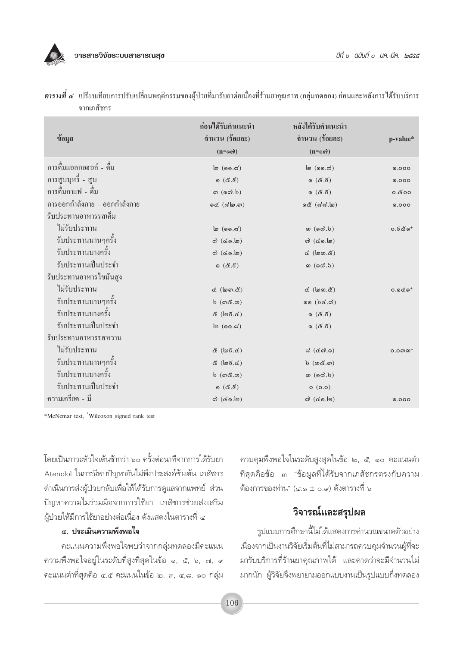วารสารวิจัยระบบสาธารณสข

|                              | ก่อนได้รับคำแนะนำ                              | หลังใด้รับคำแนะนำ                     |                      |
|------------------------------|------------------------------------------------|---------------------------------------|----------------------|
| ข้อมูล                       | จำนวน (ร้อยละ)                                 | จำนวน (ร้อยละ)                        | p-value*             |
|                              | $(n = \infty)$                                 | $(n = \infty)$                        |                      |
| การคื่มแอลกอฮอล์ - คื่ม      | $\mathsf{I}(\mathsf{I},\mathsf{I},\mathsf{I})$ | $\omega$ (ൈ. $\approx$ )              | 0.000                |
| การสูบบุหรี่ - สูบ           | ෙ $(8.5)$                                      | (8.5)                                 | 0.000                |
| การดื่มกาแฟ - ดื่ม           | (60, b)                                        | (8.5)                                 | 0.800                |
| การออกกำลังกาย - ออกกำลังกาย | $oc$ ( $cl$ lo. $m)$                           | ෧๕ (๘๘.๒)                             | 0.000                |
| รับประทานอาหารรสเค็ม         |                                                |                                       |                      |
| ไม่รับประทาน                 | $\mathfrak{b}$ (ൈം. $\mathfrak{c}$ )           | (60, b)                               | $0.5$ ර්ග $^+$       |
| รับประทานนานๆครั้ง           | $\omega$ (co.lo)                               | $\omega$ (co.lo)                      |                      |
| รับประทานบางครั้ง            | $\omega$ (co.lo)                               | $\propto$ (log $\propto$ )            |                      |
| รับประทานเป็นประจำ           | ෙරී.වි                                         | $\omega$ (ගේ.ර්)                      |                      |
| รับประทานอาหารใขมันสูง       |                                                |                                       |                      |
| ไม่รับประทาน                 | $\notin$ $(\notimes \ldots \notimes)$          | $\n  \infty (log \infty)$             | $0.006$ <sup>+</sup> |
| รับประทานนานๆครั้ง           | $b$ $(m\& m)$                                  | (6.36)                                |                      |
| รับประทานบางครั้ง            | ๕ (๒ຬ.๔)                                       | ෙ(ඊ.ර්)                               |                      |
| รับประทานเป็นประจำ           | $\mathsf{I}(\mathsf{I},\mathsf{I},\mathsf{I})$ | ෙරී.වි                                |                      |
| รับประทานอาหารรสหวาน         |                                                |                                       |                      |
| ไม่รับประทาน                 | ๕ (๒๕.๔)                                       | ದ $(\mathcal{L} \otimes \mathcal{L})$ | $O.O$ <i>©</i>       |
| รับประทานนานๆครั้ง           | $\&$ (log.c)                                   | $b$ $(m\mathcal{E}.m)$                |                      |
| รับประทานบางครั้ง            | $b$ $(m\alpha, m)$                             | $\omega$ (ගේ.ර්)                      |                      |
| รับประทานเป็นประจำ           | ෙරී.වි                                         | (0.0)                                 |                      |
| ความเครียด - มี              | $\omega$ (co.lo)                               | $\omega$ (co.lo)                      | 0.000                |

ี **ตารางที่ ๔** เปรียบเทียบการปรับเปลี่ยนพฤติกรรมของผู้ป่วยที่มารับยาต่อเนื่องที่ร้านยาคุณภาพ (กลุ่มทดลอง) ก่อนและหลังการได้รับบริการ จากเภสัชกร

\*McNemar test, <sup>+</sup>Wilcoxon signed rank test

โดยเป็นภาวะหัวใจเต้นช้ากว่า ๖๐ ครั้งต่อนาทีจากการได้รับยา Atenolol ในกรณีพบปัญหาอันไม่พึงประสงค์ข้างต้น เภสัชกร ้ดำเนินการส่งผู้ป่วยกลับเพื่อให้ได้รับการดูแลจากแพทย์ ส่วน ้ปัญหาความไม่ร่วมมือจากการใช้ยา เภสัชกรช่วยส่งเสริม ผู้ป่วยให้มีการใช้ยาอย่างต่อเนื่อง ดังแสดงในตารางที่ ๔

#### ๔. ประเมินความพึ่งพอใจ

คะแนนความพึ่งพอใจพบว่าจากกลุ่มทดลองมีคะแนน ความพึงพอใจอยู่ในระดับที่สูงที่สุดในข้อ ๑, ๕, ๖, ๗, ๙ คะแนนต่ำที่สุดคือ ๔.๕ คะแนนในข้อ ๒, ๓, ๔,๘, ๑๐ กลุ่ม ควบคุมพึงพอใจในระดับสูงสุดในข้อ ๒, ๕, ๑๐ คะแนนต่ำ ที่สุดคือข้อ ๓ "ข้อมูลที่ได้รับจากเภสัชกรตรงกับความ ต้องการของท่าน" (๔.๑ ± ๐.๙) ดังตารางที่ ๖

## วิจารณ์และสรุปผล

รูปแบบการศึกษานี้ไม่ได้แสดงการคำนวณขนาดตัวอย่าง เนื่องจากเป็นงานวิจัยเริ่มต้นที่ไม่สามารถควบคุมจำนวนผู้ที่จะ มารับบริการที่ร้านยาคุณภาพได้ และคาดว่าจะมีจำนวนไม่ มากนัก ผู้วิจัยจึงพยายามออกแบบงานเป็นรูปแบบกึ่งทดลอง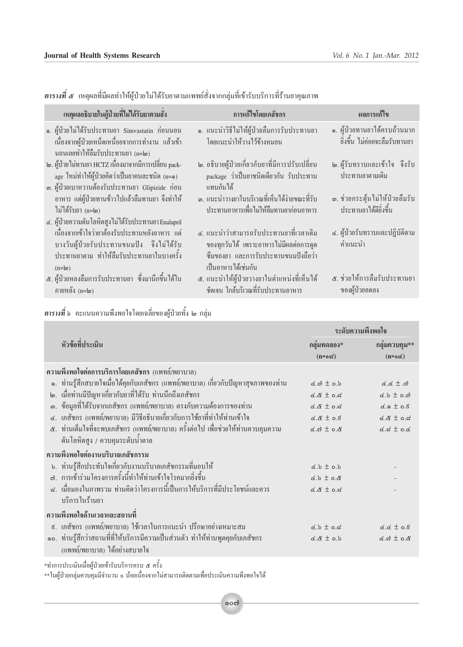**ฺตารางที่ ๕** เหตุผลที่มีผลทำให้ผู้ป่วยไม่ได้รับยาตามแพทย์สั่งจากกลุ่มที่เข้ารับบริการที่ร้านยาคุณภาพ

| เหตุผลอธิบายในผู้ป่วยที่ไม่ได้รับยาตามสั่ง                                                                                                                                                                        | การแก้ไขโดยเภสัชกร                                                                                                                                 | ผลการแก้ไข                                                      |
|-------------------------------------------------------------------------------------------------------------------------------------------------------------------------------------------------------------------|----------------------------------------------------------------------------------------------------------------------------------------------------|-----------------------------------------------------------------|
| ๑. ผู้ป่วยไม่ได้รับประทานยา Simvastatin ก่อนนอน<br>เนื่องจากผู้ป่วยเหน็ดเหนื่อยจากการทำงาน แล้วเข้า<br>นอนเลยทำให้ลืมรับประทานยา (n=๒)                                                                            | ๑. แนะนำวิธีไม่ให้ผู้ป่วยลืมการรับประทานยา<br>โดยแนะนำให้วางไว้ข้างหมอน                                                                            | ๑. ผู้ป่วยทานยาได้ครบถ้วนมาก<br>- ยิ่งขึ้น ไม่ค่อยจะลืมรับทานยา |
| ๒. ผู้ป่วยไม่ทานยา HCTZ เนื่องมาจากมีการเปลี่ยน pack-<br>age ใหม่ทำให้ผู้ป่วยคิดว่าเป็นยากนละชนิด (n=๑)<br>๑. ผู้ป่วยเบาหวานต้องรับประทานยา Glipizide ก่อน                                                        | ๒. อธิบายผู้ป่วยเกี่ยวกับยาที่มีการปรับเปลี่ยน<br>package ว่าเป็นยาชนิดเดียวกัน รับประทาน<br>แทนกันได้                                             | ๒.ผู้รับทราบและเข้าใจ จึงรับ<br>ประทานยาตามเดิม                 |
| อาหาร แต่ผู้ป่วยทานข้าวไปแล้วลืมทานยา จึงทำให้<br>ไม่ได้รับยา (n=๒)                                                                                                                                               | ด. แนะนำวางยาในบริเวณที่เห็นได้ง่ายขณะที่รับ<br>ประทานอาหารเพื่อไม่ให้ลืมทานยาก่อนอาหาร                                                            | ๑. ช่วยกระตุ้นไม่ให้ป่วยลืมรับ<br>ประทานยาใค้คียิ่งขึ้น         |
| ๔. ผู้ป่วยความดันโลหิตสูงไม่ได้รับประทานยา Enalapril<br>้เนื่องจากเข้าใจว่ายาต้องรับประทานหลังอาหาร แต่<br>บางวันผู้ป่วยรับประทานขนมปัง จึงไม่ได้รับ<br>ประทานยาตาม ทำให้ลืมรับประทานยาในบางครั้ง<br>$(n=\omega)$ | ๔. แนะนำว่าสามารถรับประทานยาที่เวลาเดิม<br>ของทุกวันได้ เพราะอาหารไม่มีผลต่อการดูด<br>ซึมของยา และการรับประทานขนมปังถือว่า<br>้เป็นอาหารได้เช่นกัน | ี ๔. ผู้ป่วยรับทราบและปฏิบัติตาม<br>คำแนะนำ                     |
| ๕. ผู้ป่วยหลงลืมการรับประทานยา ซึ่งมานึกขึ้นได้ใน<br>ึภายหลัง (n=l๓)                                                                                                                                              | ๕. แนะนำให้ผู้ป่วยวางยาในตำแหน่งที่เห็นได้<br>้ชัดเจน ใกล้บริเวณที่รับประทานอาหาร                                                                  | ๕. ช่วยให้การลืมรับประทานยา<br><u>ของผ้าไวยลดลง</u>             |

## 

|                                                                                     | ระดับความพึ่งพอใจ         |                                   |
|-------------------------------------------------------------------------------------|---------------------------|-----------------------------------|
| หัวข้อที่ประเมิน                                                                    | กลุ่มทดลอง*               | กลุ่มควบคุม**                     |
|                                                                                     | $(n = \infty)$            | $(n = \infty)$                    |
| ความพึงพอใจต่อการบริการโดยเภสัชกร (แพทย์/พยาบาล)                                    |                           |                                   |
| ๑. ท่านรู้สึกสบายใจเมื่อได้คุยกับเภสัชกร (แพทย์/พยาบาล) เกี่ยวกับปัญหาสุขภาพของท่าน | $\leq$ $\odot$ $\pm$ 0.b  | $d \notin \pm \infty$             |
| ๒. เมื่อท่านมีปัญหาเกี่ยวกับยาที่ได้รับ ท่านนึกถึงเภสัชกร                           | $6.8 \pm 0.7$             | $d.b \pm o.c$                     |
| ๑. ข้อมูลที่ได้รับจากเภสัชกร (แพทย์/พยาบาล) ตรงกับความต้องการของท่าน                | $6.8 + 0.6$               | $6.0 \pm 0.5$                     |
| ๔. เภสัชกร (แพทย์/พยาบาล) มีวิธีอธิบายเกี่ยวกับการใช้ยาที่ทำให้ท่านเข้าใจ           | $6.8 \pm 0.5$             | $6.8 \pm 0.5$                     |
| ๕. ท่านเต็มใจที่จะพบเภสัชกร (แพทย์/พยาบาล) ครั้งต่อไป เพื่อช่วยให้ท่านควบคุมความ    | $6.0 \pm 0.8$             | $6.5 \pm 0.6$                     |
| ดันโลหิตสูง / ควบคุมระดับนำตาล                                                      |                           |                                   |
| ความพึ่งพอใจต่องานบริบาลเภสัชกรรม                                                   |                           |                                   |
| ้ง. ท่านรู้สึกประทับใจเกี่ยวกับงานบริบาลเภสัชกรรมที่มอบให้                          | $d.b \pm o.b$             |                                   |
| ๗. การเข้าร่วมโครงการครั้งนี้ทำให้ท่านเข้าใจโรคมากยิ่งขึ้น                          | $\& .\circ \pm \circ .\&$ |                                   |
| ี่ ๘. เมื่อมองในภาพรวม ท่านคิดว่าโครงการนี้เป็นการให้บริการที่มีประโยชน์และควร      | $6.8 \pm 0.5$             |                                   |
| บริการในร้านยา                                                                      |                           |                                   |
| ความพึงพอใจด้านเวลาและสถานที่                                                       |                           |                                   |
| ี่ ៩. เภสัชกร (แพทย์/พยาบาล) ใช้เวลาในการแนะนำ ปรึกษาอย่างเหมาะสม                   | $d.b \pm o.d$             | $d.d \pm 0.5$                     |
| ๑๐. ท่านรู้สึกว่าสถานที่ที่ให้บริการมีความเป็นส่วนตัว ทำให้ท่านพูดคุยกับเภสัชกร     | $d \cdot d \pm \delta$ .  | $\alpha$ . $\alpha$ ± 0. $\alpha$ |
| (แพทย์/พยาบาล) ใค้อย่างสบายใจ                                                       |                           |                                   |

\*ทำการประเมินเมื่อผู้ป่วยเข้ารับบริการครบ ๕ ครั้ง<br>\*\*ในผู้ป่วยกลุ่มควบคุมมีจำนวน n น้อยเนื่องจากไม่สามารถติดตามเพื่อประเมินความพึงพอใจได้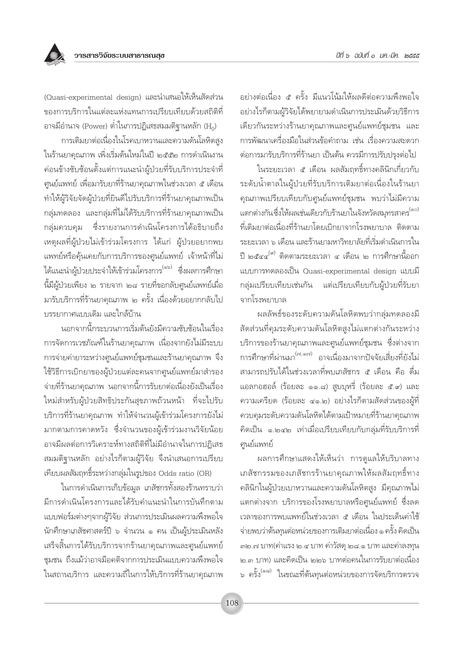้อย่างต่อเนื่อง ๕ ครั้ง มีแนวโน้มให้ผลดีต่อความพึงพอใจ อย่างไรก็ตามผู้วิจัยได้พยายามดำเนินการประเมินด้วยวิธีการ เดียวกันระหว่างร้านยาคุณภาพและศูนย์แพทย์ชุมชน และ การพัฒนาเครื่องมือในส่วนข้อคำถาม เช่น เรื่องความสะดวก ต่อการมารับบริการที่ร้านยา เป็นต้น ควรมีการปรับปรุงต่อไป

ในระยะเวลา ๕ เดือน ผลสัมฤทธิ์ทางคลินิกเกี่ยวกับ ระดับน้ำตาลในผ้ป่วยที่รับบริการเติมยาต่อเนื่องในร้านยา คุณภาพเปรียบเทียบกับศูนย์แพทย์ชุมชน พบว่าไม่มีความ แตกต่างกันซึ่งให้ผลเช่นเดียวกับร้านยาในจังหวัดสมทรสาคร<sup>(๑๐)</sup> ู้ที่เติมยาต่อเนื่องที่ร้านยาโดยเบิกยาจากโรงพยาบาล ติดตาม ระยะเวลา ๖ เดือน และร้านยามหาวิทยาลัยที่เริ่มดำเนินการใน ปี ๒๕๔๔<sup>(๙)</sup> ติดตามระยะเวลา ๔ เดือน ๒ การศึกษานี้ออก แบบการทดลองเป็น Quasi-experimental design แบบมื่ กลุ่มเปรียบเทียบเช่นกัน แต่เปรียบเทียบกับผู้ป่วยที่รับยา จากโรงพยาบาล

ผลลัพธ์ของระดับความดันโลหิตพบว่ากลุ่มทดลองมื สัดส่วนที่คุมระดับความดันโลหิตสูงไม่แตกต่างกันระหว่าง บริการของร้านยาคุณภาพและศูนย์แพทย์ชุมชน ซึ่งต่างจาก การศึกษาที่ผ่านมา<sup>(๗,๑๗)</sup> อาจเนื่องมาจากปัจจัยเสี่ยงที่ยังไม่ สามารถปรับได้ในช่วงเวลาที่พบเภสัชกร ๕ เดือน คือ ดื่ม แอลกอฮอล์ (ร้อยละ ๑๑.๘) สูบบุหรี่ (ร้อยละ ๕.๙) และ ความเครียด (ร้อยละ ๔๑.๒) อย่างไรก็ตามสัดส่วนของผู้ที่ ควบคุมระดับความดันโลหิตได้ตามเป้าหมายที่ร้านยาคุณภาพ คิดเป็น ๑.๒๔๒ เท่าเมื่อเปรียบเทียบกับกล่มที่รับบริการที่ ศูนย์แพทย์

ผลการศึกษาแสดงให้เห็นว่า การดูแลให้บริบาลทาง เภสัชกรรมของเภสัชกรร้านยาคุณภาพให้ผลสัมฤทธิ์ทาง ้คลินิกในผู้ป่วยเบาหวานและความดันโลหิตสูง มีคุณภาพไม่ แตกต่างจาก บริการของโรงพยาบาลหรือศูนย์แพทย์ ซึ่งลด เวลาของการพบแพทย์ในช่วงเวลา ๕ เดือน ในประเด็นค่าใช้ จ่ายพบว่าต้นทุนต่อหน่วยของการเติมยาต่อเนื่อง ๑ ครั้ง คิดเป็น ๓๒.๗ บาท(ค่าแรง ๒.๔ บาท ค่าวัสดุ ๒๘.๑ บาท และค่าลงทุน ๒.๓ บาท) และคิดเป็น ๒๒๖ บาทต่อคนในการรับยาต่อเนื่อง ็จ ครั้ง <sup>(๑๘)</sup> ในขณะที่ต้นทุนต่อหน่วยของการจัดบริการตรวจ

(Quasi-experimental design) และนำเสนอให้เห็นสัดส่วน ของการบริการในแต่ละแห่งแทนการเปรียบเทียบด้วยสถิติที่ อาจมีอำนาจ (Power) ต่ำในการปฏิเสธสมมติฐานหลัก ( $\rm H_{0}$ )

การเติมยาต่อเนื่องในโรคเบาหวานและความดันโลหิตสูง ในร้านยาคุณภาพ เพิ่งเริ่มต้นใหม่ในปี ๒๕๕๒ การดำเนินงาน ค่อนข้างซับซ้อนตั้งแต่การแนะนำผู้ป่วยที่รับบริการประจำที่ ศูนย์แพทย์ เพื่อมารับยาที่ร้านยาคุณภาพในช่วงเวลา ๕ เดือน ทำให้ผู้วิจัยจัดผู้ป่วยที่ยินดีไปรับบริการที่ร้านยาคุณภาพเป็น กลุ่มทดลอง และกลุ่มที่ไม่ได้รับบริการที่ร้านยาคุณภาพเป็น กลุ่มควบคุม ซึ่งรายงานการดำเนินโครงการได้อธิบายถึง เหตุผลที่ผู้ป่วยไม่เข้าร่วมโครงการ ได้แก่ ผู้ป่วยอยากพบ แพทย์หรือคุ้นเคยกับการบริการของศูนย์แพทย์ เจ้าหน้าที่ไม่ ได้แนะนำผู้ป่วยประจำให้เข้าร่วมโครงการ<sup>(๑๖)</sup> ซึ่งผลการศึกษา นี้มีผู้ป่วยเพียง ๒ รายจาก ๒๘ รายที่ขอกลับศูนย์แพทย์เมื่อ มารับบริการที่ร้านยาคุณภาพ ๒ ครั้ง เนื่องด้วยอยากกลับไป บรรยากาศแบบเดิม และใกล้บ้าน

นอกจากนี้กระบวนการเริ่มต้นยังมีความซับซ้อนในเรื่อง การจัดการเวชภัณฑ์ในร้านยาคณภาพ เนื่องจากยังไม่มีระบบ การจ่ายค่ายาระหว่างศูนย์แพทย์ชุมชนและร้านยาคุณภาพ จึง ใช้วิธีการเบิกยาของผู้ป่วยแต่ละคนจากศูนย์แพทย์มาสำรอง จ่ายที่ร้านยาคุณภาพ นอกจากนี้การรับยาต่อเนื่องยังเป็นเรื่อง ใหม่สำหรับผู้ป่วยสิทธิประกันสุขภาพถ้วนหน้า ที่จะไปรับ ้บริการที่ร้านยาคุณภาพ ทำให้จำนวนผู้เข้าร่วมโครงการยังไม่ มากตามการคาดหวัง ซึ่งจำนวนของผู้เข้าร่วมงานวิจัยน้อย อาจมีผลต่อการวิเคราะห์ทางสถิติที่ไม่มีอำนาจในการปฏิเสธ สมมติฐานหลัก อย่างไรก็ตามผู้วิจัย จึงนำเสนอการเปรียบ เทียบผลสัมฤทธิ์ระหว่างกลุ่มในรูปของ Odds ratio (OR)

ในการดำเนินการเก็บข้อมูล เภสัชกรทั้งสองร้านทราบว่า มีการดำเนินโครงการและได้รับคำแนะนำในการบันทึกตาม แบบฟอร์มต่างๆจากผู้วิจัย ส่วนการประเมินผลความพึ่งพอใจ นักศึกษาเภสัชศาสตร์ปี ๖ จำนวน ๑ คน เป็นผู้ประเมินหลัง เสร็จสิ้นการได้รับบริการจากร้านยาคุณภาพและศูนย์แพทย์ ชุมชน ถึงแม้ว่าอาจมือคติจากการประเมินแบบความพึงพอใจ ในสถานบริการ และความถี่ในการให้บริการที่ร้านยาคุณภาพ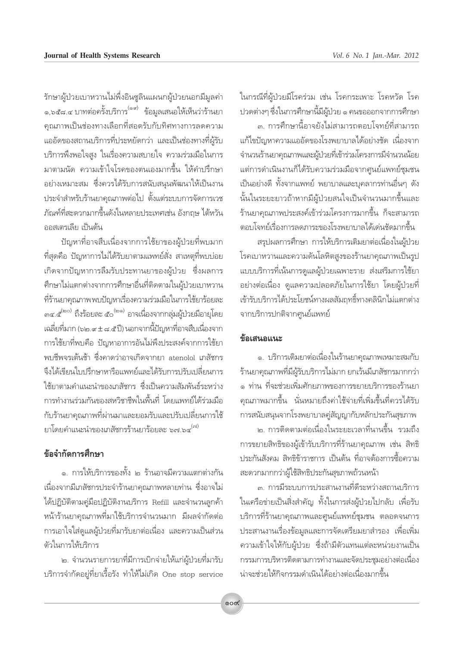ในกรณีที่ผู้ป่วยมีโรคร่วม เช่น โรคกระเพาะ โรคหวัด โรค ปวดต่างๆ ซึ่งในการศึกษานี้มีผู้ป่วย ๑ คนขอออกจากการศึกษา

๓. การศึกษานี้อาจยังไม่สามารถตอบโจทย์ที่สามารถ แก้ไขปัญหาความแออัดของโรงพยาบาลได้อย่างชัด เนื่องจาก จำนวนร้านยาคุณภาพและผู้ป่วยที่เข้าร่วมโครงการมีจำนวนน้อย แต่การดำเนินงานก็ได้รับความร่วมมือจากศูนย์แพทย์ชุมชน เป็นอย่างดี ทั้งจากแพทย์ พยาบาลและบคลากรท่านอื่นๆ ดัง ้นั้นในระยะยาวถ้าหากมีผู้ป่วยสนใจเป็นจำนวนมากขึ้นและ ้ร้านยาคณภาพประสงค์เข้าร่วมโครงการมากขึ้น ก็จะสามารถ ตอบโจทย์เรื่องการลดภาระของโรงพยาบาลได้เด่นชัดมากขึ้น

สรุปผลการศึกษา การให้บริการเติมยาต่อเนื่องในผู้ป่วย โรคเบาหวานและความดันโลหิตสูงของร้านยาคุณภาพเป็นรูป แบบบริการที่เน้นการดูแลผู้ป่วยเฉพาะราย ส่งเสริมการใช้ยา ้อย่างต่อเนื่อง ดูแลความปลอดภัยในการใช้ยา โดยผู้ป่วยที่ เข้ารับบริการได้ประโยชน์ทางผลสัมฤทธิ์ทางคลินิกไม่แตกต่าง จากบริการปกติจากศูนย์แพทย์

#### ข้อเสนอแนะ

๑. บริการเติมยาต่อเนื่องในร้านยาคุณภาพเหมาะสมกับ ้ร้านยาคุณภาพที่มีผู้รับบริการไม่มาก ยกเว้นมีเภสัชกรมากกว่า ๑ ท่าน ที่จะช่วยเพิ่มศักยภาพของการขยายบริการของร้านยา คณภาพมากขึ้น นั่นหมายถึงค่าใช้จ่ายที่เพิ่มขึ้นที่ควรได้รับ การสนับสนุนจากโรงพยาบาลคู่สัญญากับหลักประกันสุขภาพ

<sub>ไต</sub> การติดตามต่อเนื่องในระยะเวลาที่นานขึ้น รวมถึง การขยายสิทธิของผู้เข้ารับบริการที่ร้านยาคุณภาพ เช่น สิทธิ ประกันสังคม สิทธิข้าราชการ เป็นต้น ที่อาจต้องการซื้อความ สะดวกมากกว่าผู้ใช้สิทธิประกันสุขภาพถ้วนหน้า

.๓. การมีระบบการประสานงานที่ดีระหว่างสถานบริการ ในเครือข่ายเป็นสิ่งสำคัญ ทั้งในการส่งผู้ป่วยไปกลับ เพื่อรับ บริการที่ร้านยาคุณภาพและศูนย์แพทย์ชุมชน ตลอดจนการ ประสานงานเรื่องข้อมูลและการจัดเตรียมยาสำรอง เพื่อเพิ่ม ้ความเข้าใจให้กับผู้ป่วย ซึ่งถ้ามีตัวแทนแต่ละหน่วยงานเป็น กรรมการบริหารติดตามการทำงานและจัดประชุมอย่างต่อเนื่อง น่าจะช่วยให้กิจกรรมดำเนินได้อย่างต่อเนื่องมากขึ้น

รักษาผู้ป่วยเบาหวานไม่พึ่งอินซูลินแผนกผู้ป่วยนอกมีมูลค่า ๑,๖๕๘.๔ บาทต่อครั้งบริการ<sup>(๑๙)</sup> ข้อมูลเสนอให้เห็นว่าร้านยา ิคณภาพเป็นช่องทางเลือกที่สอดรับกับทิศทางการลดความ แออัดของสถานบริการที่ประหยัดกว่า และเป็นช่องทางที่ผู้รับ บริการพึงพอใจสูง ในเรื่องความสบายใจ ความร่วมมือในการ ้มาตามนัด ความเข้าใจโรคของตนเองมากขึ้น ให้คำปรึกษา ้อย่างเหมาะสม ซึ่งควรได้รับการสนับสนนพัฒนาให้เป็นงาน ประจำสำหรับร้านยาคุณภาพต่อไป ตั้งแต่ระบบการจัดการเวช ้ภัณฑ์ที่สะดวกมากขึ้นดังในหลายประเทศเช่น อังกถษ ไต้หวัน ออสเตรเลีย เป็นต้น

้ ปัญหาที่อาจสืบเนื่องจากการใช้ยาของผู้ป่วยที่พบมาก ที่สุดคือ ปัญหาการไม่ได้รับยาตามแพทย์สั่ง สาเหตุที่พบบ่อย เกิดจากปัญหาการลืมรับประทานยาของผู้ป่วย ซึ่งผลการ ศึกษาไม่แตกต่างจากการศึกษาอื่นที่ติดตามในผู้ป่วยเบาหวาน ที่ร้านยาคุณภาพพบปัญหาเรื่องความร่วมมือในการใช้ยาร้อยละ ๓๔.๕ (๒๐) ถึงร้อยละ ๕๐<sup>(๒๑)</sup> อาจเนื่องจากกลุ่มผู้ป่วยมีอายุโดย เฉลี่ยที่มาก (๖๒.๙±๘.๕ปี) นอกจากนี้ปัญหาที่อาจสืบเนื่องจาก การใช้ยาที่พบคือ ปัญหาอาการอันไม่พึงประสงค์จากการใช้ยา ่ พบชีพจรเต้นช้า ซึ่งคาดว่าอาจเกิดจากยา atenolol เภสัชกร จึงได้เขียนใบปรึกษาหารือแพทย์และได้รับการปรับเปลี่ยนการ ใช้ยาตามคำแนะนำของเภสัชกร ซึ่งเป็นความสัมพันธ์ระหว่าง การทำงานร่วมกันของสหวิชาชีพในพื้นที่ โดยแพทย์ได้ร่วมมือ กับร้านยาคุณภาพที่ผ่านมาและยอมรับและปรับเปลี่ยนการใช้ ยาโดยคำแนะนำของเภสัชกรร้านยาร้อยละ ๖๗ ๖๔<sup>(๗)</sup>

#### ข้อจำกัดการศึกษา

๑. การให้บริการของทั้ง ๒ ร้านอาจมีความแตกต่างกัน เนื่องจากมีเภสัชกรประจำร้านยาคุณภาพหลายท่าน ซึ่งอาจไม่ ได้ปฏิบัติตามคู่มือปฏิบัติงานบริการ Refill และจำนวนลูกค้า หน้าร้านยาคุณภาพที่มาใช้บริการจำนวนมาก มีผลจำกัดต่อ การเอาใจใส่ดูแลผู้ป่วยที่มารับยาต่อเนื่อง และความเป็นส่วน ตัวในการให้บริการ

๒. จำนวนรายการยาที่มีการเบิกจ่ายให้แก่ผู้ป่วยที่มารับ บริการจำกัดอยู่ที่ยาเรื้อรัง ทำให้ไม่เกิด One stop service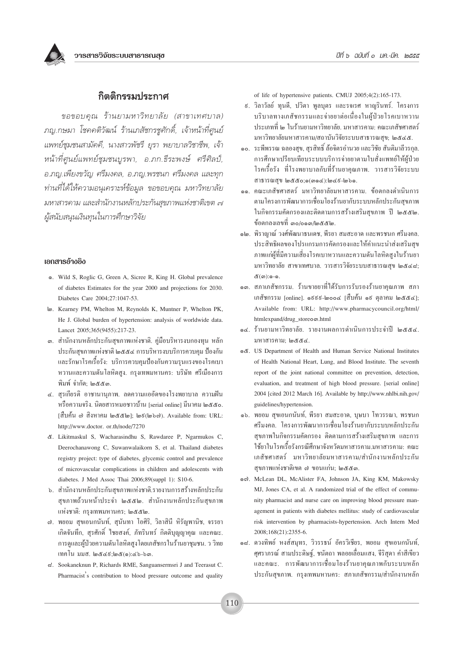#### กิตติกรรมประกาศ

ขอขอบคณ ร้านยามหาวิทยาลัย (สาขาเทศบาล) ภญ.กษมา โชคคติวัฒน์ ร้านเภสัชกรชูศักดิ์, เจ้าหน้าที่ศูนย์ แพทย์ชุมชนสามัคคี, นางสาวพัชรี ยุรา พยาบาลวิชาชีพ, เจ้า หน้าที่ศูนย์แพทย์ชุมชนบูรพา, อ.ภก.ธีระพงษ์ ศรีศิลป์, อ.ภุณ.เพียงขวัญ ศรีมงคล. อ.ภุณ.พรชนก ศรีมงคล และทุก ท่านที่ได้ให้ความอนุเคราะห์ข้อมูล ขอขอบคุณ มหาวิทยาลัย มหาสารคาม และสำนักงานหลักประกันสขภาพแห่งชาติเขต ๗ ผู้สนับสนุนเงินทุนในการศึกษาวิจัย

#### เอกสารอ้างอิง

- o. Wild S, Roglic G, Green A, Sicree R, King H. Global prevalence of diabetes Estimates for the year 2000 and projections for 2030. Diabetes Care 2004:27:1047-53
- Le . Kearney PM, Whelton M, Reynolds K, Muntner P, Whelton PK, He J. Global burden of hypertension: analysis of worldwide data. Lancet 2005;365(9455):217-23.
- ๑. สำนักงานหลักประกันสุขภาพแห่งชาติ. คู่มือบริหารงบกองทุน หลัก ประกันสงภาพแห่งชาติ ๒๕๕๔ การบริหารงบบริการควบคม ป้องกัน และรักษาโรคเรื้อรัง: บริการควบคุมป้องกันความรุนแรงของโรคเบา หวานและความดันโลหิตสูง. กรุงเทพมหานคร: บริษัท ศรีเมืองการ พิมพ์ จำกัด: ๒๕๕๓.
- ๔. สุรเกียรติ อาชานานุภาพ. ลดความแออัคของโรงพยาบาล ความฝัน หรือความจริง. นิตยสารหมอชาวบ้าน [serial online] มีนาคม ๒๕๕๐. [สืบค้น ๗ สิงหาคม ๒๕๕๒]; ๒ธ(๒๖๗). Available from: URL: http://www.doctor.or.th/node/7270
- &. Likitmaskul S, Wacharasindhu S, Rawdaree P, Ngarmukos C, Deerochanawong C, Suwanwalaikorn S, et al. Thailand diabetes registry project: type of diabetes, glycemic control and prevalence of microvascular complications in children and adolescents with diabetes. J Med Assoc Thai 2006;89(suppl 1): S10-6.
- ๖. สำนักงานหลักประกันสุขภาพแห่งชาติ.รายงานการสร้างหลักประกัน สุขภาพถ้วนหน้าประจำ ๒๕๕๒. สำนักงานหลักประกันสุขภาพ แห่งชาติ: กรงเทพมหานคร; ๒๕๕๒.
- ๗. พยอม สุขเอนกนันท์, สุนันทา โอศิริ, วิลาสินี หิรัญพานิช, จรรยา ้เกิดจันทึก, สุรศักดิ์ ใชยสงค์, ภัทรินทร์ กิตติบุญญาคุณ และคณะ. การดูและผู้ป่วยความดันโลหิตสูงโดยเภสัชกรในร้านยาชุมชน. ว วิทย เทคโน มมส. ๒๕๔ธ;๒๕(๑):๔๖-๖๓.
- d. Sookaneknun P, Richards RME, Sanguansermsri J and Teerasut C. Pharmacist's contribution to blood pressure outcome and quality

of life of hypertensive patients. CMUJ 2005;4(2):165-173.

- ี่ ៩. วิลาวัลย์ ทนคี. ปวิตา พลบตร และรจเรศ หาณรินทร์. โครงการ บริบาลทางเภสัชกรรมและจ่ายยาต่อเนื่องในผ้ป่วยโรคเบาหวาน ประเภทที่ ๒ ในร้านยามหาวิทยาลัย. มหาสารคาม: คณะเภสัชศาสตร์ มหาวิทยาลัยมหาสารคาม/สถาบันวิจัยระบบสาธารณสข: ๒๕๔๕.
- ๑๐. ระพีพรรณ ฉลองสข. สรสิทธิ์ ล้อจิตรอำนวย และวิชัย สันติมาลีวรกล. ้การศึกษาเปรียบเทียบระบบบริการจ่ายยาตามใบสั่งแพทย์ให้ผ้ป่วย โรคเรื้อรัง ที่โรงพยาบาลกับที่ร้านยาคณภาพ. วารสารวิจัยระบบ สาธารณสบ ๒๕๕๐;๑(๓๑๔):๒๔ธี-๒๖๑.
- ๑๑. คณะเภสัชศาสตร์ มหาวิทยาลัยมหาสารคาม. ข้อตกลงดำเนินการ ตามโครงการพัฒนาการเชื่อมโยงร้านยากับระบบหลักประกันสุขภาพ ในกิจกรรมคัดกรองและติดตามการสร้างเสริมสุขภาพ ปี ๒๕๕๒. ข้อตกลงเลขที่ ๓๐/๐๑๓/๒๕๕๒.
- ๑๒. พิราญาณ์ วงศ์พัฒนาธนเคช. พีรยา สมสะอาค และพรชนก ศรีมงคล. ประสิทธิผลของโปรแกรมการคัดกรองและให้คำแนะนำส่งเสริมสข ภาพแก่ผู้ที่มีความเสี่ยงโรคเบาหวานและความดันโลหิตสงในร้านยา มหาวิทยาลัย สาขาเทศบาล. วารสารวิจัยระบบสาธารณสุข ๒๕๔๘; ๕(๓):๑-๑.
- ๑๓. สภาเภสัชกรรม. ร้านขายยาที่ได้รับการรับรองร้านยาคณภาพ สภา เภสัชกรรม [online]. ๑៩៩៩-๒๐๐๔ [สืบค้น ๑៩ ตุลาคม ๒๕๕๔]; Available from: URL: http://www.pharmacycouncil.org/html/ htmlexpand/drug storeom.html
- ๑๔. ร้านยามหาวิทยาลัย. รายงานผลการคำเนินการประจำปี ๒๕๕๔. มหาสารคาม; ๒๕๕๔.
- දේ. US Department of Health and Human Service National Institutes of Health National Heart, Lung, and Blood Institute. The seventh report of the joint national committee on prevention, detection, evaluation, and treatment of high blood pressure. [serial online] 2004 [cited 2012 March 16]. Available by http://www.nhlbi.nih.gov/ guidelines/hypertension.
- ๑๖. พยอม สุขเอนกนันท์, พีรยา สมสะอาด, บุษบา โทวรรณา, พรชนก ศรีมงคล. โครงการพัฒนาการเชื่อมโยงร้านยากับระบบหลักประกัน สขภาพในกิจกรรมคัดกรอง ติดตามการสร้างเสริมสขภาพ และการ ใช้ยาในโรคเรื้อรังกรณีศึกษาจังหวัดมหาสารคาม.มหาสารคาม: คณะ เภสัชศาสตร์ มหาวิทยาลัยมหาสารคาม/สำนักงานหลักประกัน สุขภาพแห่งชาติเขต ๗ ขอนแก่น; ๒๕๕๓.
- லை. McLean DL, McAlister FA, Johnson JA, King KM, Makowsky MJ, Jones CA, et al. A randomized trial of the effect of community pharmacist and nurse care on improving blood pressure management in patients with diabetes mellitus: study of cardiovascular risk intervention by pharmacists-hypertension. Arch Intern Med 2008;168(21):2355-6.
- ๑๘. ควงทิพย์ หงส์สมุทร, วิวรรธน์ อัครวิเชียร, พยอม สุขเอนกนันท์, ศุศราภรณ์ สามประดิษฐ์, ชนัตถา พลอยเลื่อมแสง, จีริสุดา คำสีเขียว และคณะ. การพัฒนาการเชื่อมโยงร้านยาคุณภาพกับระบบหลัก ประกันสุขภาพ. กรุงเทพมหานคร: สภาเภสัชกรรม/สำนักงานหลัก